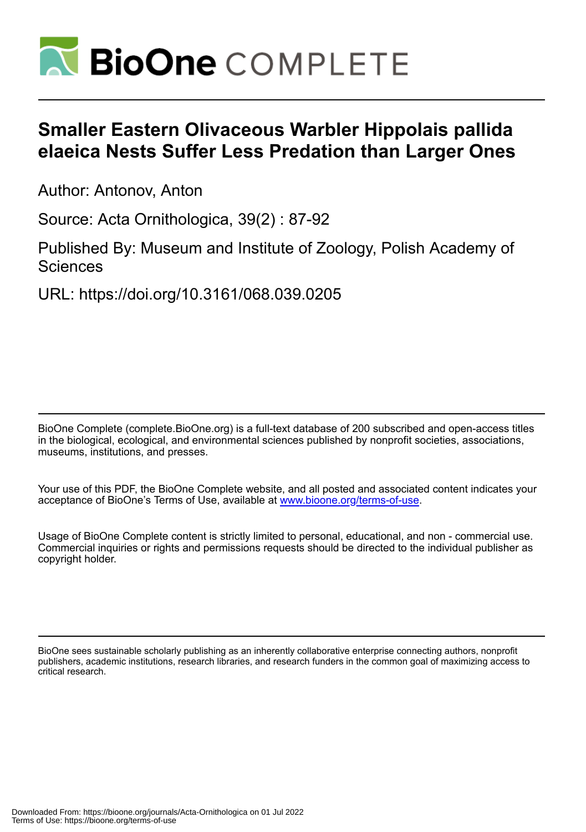

# **Smaller Eastern Olivaceous Warbler Hippolais pallida elaeica Nests Suffer Less Predation than Larger Ones**

Author: Antonov, Anton

Source: Acta Ornithologica, 39(2) : 87-92

Published By: Museum and Institute of Zoology, Polish Academy of **Sciences** 

URL: https://doi.org/10.3161/068.039.0205

BioOne Complete (complete.BioOne.org) is a full-text database of 200 subscribed and open-access titles in the biological, ecological, and environmental sciences published by nonprofit societies, associations, museums, institutions, and presses.

Your use of this PDF, the BioOne Complete website, and all posted and associated content indicates your acceptance of BioOne's Terms of Use, available at www.bioone.org/terms-of-use.

Usage of BioOne Complete content is strictly limited to personal, educational, and non - commercial use. Commercial inquiries or rights and permissions requests should be directed to the individual publisher as copyright holder.

BioOne sees sustainable scholarly publishing as an inherently collaborative enterprise connecting authors, nonprofit publishers, academic institutions, research libraries, and research funders in the common goal of maximizing access to critical research.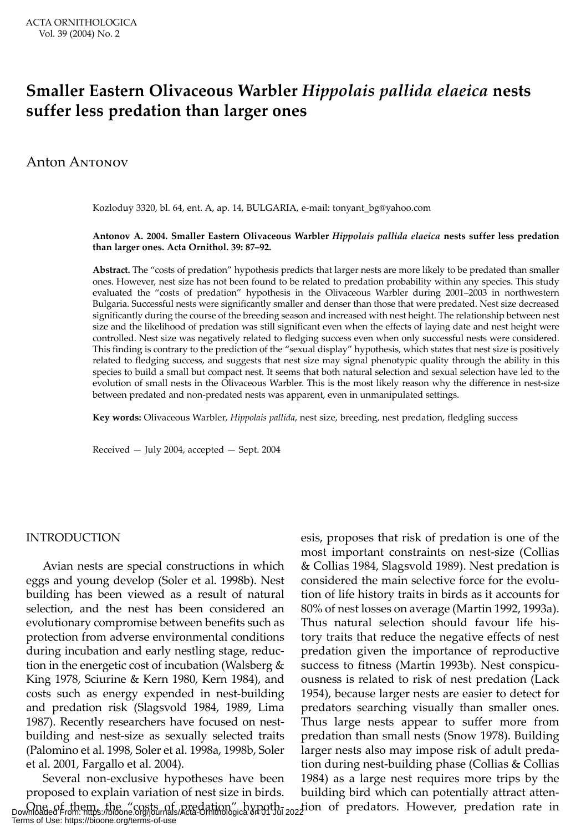# **Smaller Eastern Olivaceous Warbler** *Hippolais pallida elaeica* **nests suffer less predation than larger ones**

### Anton ANTONOV

Kozloduy 3320, bl. 64, ent. A, ap. 14, BULGARIA, e-mail: tonyant\_bg@yahoo.com

#### **Antonov A. 2004. Smaller Eastern Olivaceous Warbler** *Hippolais pallida elaeica* **nests suffer less predation than larger ones. Acta Ornithol. 39: 87–92.**

**Abstract.** The "costs of predation" hypothesis predicts that larger nests are more likely to be predated than smaller ones. However, nest size has not been found to be related to predation probability within any species. This study evaluated the "costs of predation" hypothesis in the Olivaceous Warbler during 2001–2003 in northwestern Bulgaria. Successful nests were significantly smaller and denser than those that were predated. Nest size decreased significantly during the course of the breeding season and increased with nest height. The relationship between nest size and the likelihood of predation was still significant even when the effects of laying date and nest height were controlled. Nest size was negatively related to fledging success even when only successful nests were considered. This finding is contrary to the prediction of the "sexual display" hypothesis, which states that nest size is positively related to fledging success, and suggests that nest size may signal phenotypic quality through the ability in this species to build a small but compact nest. It seems that both natural selection and sexual selection have led to the evolution of small nests in the Olivaceous Warbler. This is the most likely reason why the difference in nest-size between predated and non-predated nests was apparent, even in unmanipulated settings.

**Key words:** Olivaceous Warbler, *Hippolais pallida*, nest size, breeding, nest predation, fledgling success

Received — July 2004, accepted — Sept. 2004

#### INTRODUCTION

Avian nests are special constructions in which eggs and young develop (Soler et al. 1998b). Nest building has been viewed as a result of natural selection, and the nest has been considered an evolutionary compromise between benefits such as protection from adverse environmental conditions during incubation and early nestling stage, reduction in the energetic cost of incubation (Walsberg & King 1978, Sciurine & Kern 1980, Kern 1984), and costs such as energy expended in nest-building and predation risk (Slagsvold 1984, 1989, Lima 1987). Recently researchers have focused on nestbuilding and nest-size as sexually selected traits (Palomino et al. 1998, Soler et al. 1998a, 1998b, Soler et al. 2001, Fargallo et al. 2004).

Several non-exclusive hypotheses have been proposed to explain variation of nest size in birds. One of them, the "costs of predation" hypoth-<br>Downloaded From: https://bioone.org/journals/Acta-Ornithologica on 01 Jul 2022 ion of predators. However, predation rate in Terms of Use: https://bioone.org/terms-of-use

esis, proposes that risk of predation is one of the most important constraints on nest-size (Collias & Collias 1984, Slagsvold 1989). Nest predation is considered the main selective force for the evolution of life history traits in birds as it accounts for 80% of nest losses on average (Martin 1992, 1993a). Thus natural selection should favour life history traits that reduce the negative effects of nest predation given the importance of reproductive success to fitness (Martin 1993b). Nest conspicuousness is related to risk of nest predation (Lack 1954), because larger nests are easier to detect for predators searching visually than smaller ones. Thus large nests appear to suffer more from predation than small nests (Snow 1978). Building larger nests also may impose risk of adult predation during nest-building phase (Collias & Collias 1984) as a large nest requires more trips by the building bird which can potentially attract atten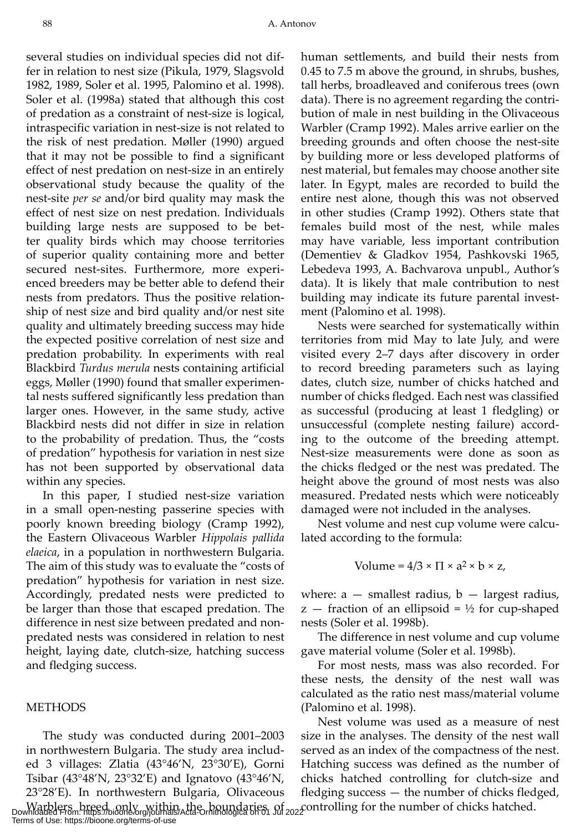several studies on individual species did not differ in relation to nest size (Pikula, 1979, Slagsvold 1982, 1989, Soler et al. 1995, Palomino et al. 1998). Soler et al. (1998a) stated that although this cost of predation as a constraint of nest-size is logical, intraspecific variation in nest-size is not related to the risk of nest predation. Møller (1990) argued that it may not be possible to find a significant effect of nest predation on nest-size in an entirely observational study because the quality of the nest-site *per se* and/or bird quality may mask the effect of nest size on nest predation. Individuals building large nests are supposed to be better quality birds which may choose territories of superior quality containing more and better secured nest-sites. Furthermore, more experienced breeders may be better able to defend their nests from predators. Thus the positive relationship of nest size and bird quality and/or nest site quality and ultimately breeding success may hide the expected positive correlation of nest size and predation probability. In experiments with real Blackbird *Turdus merula* nests containing artificial eggs, Møller (1990) found that smaller experimental nests suffered significantly less predation than larger ones. However, in the same study, active Blackbird nests did not differ in size in relation to the probability of predation. Thus, the "costs of predation" hypothesis for variation in nest size has not been supported by observational data within any species.

In this paper, I studied nest-size variation in a small open-nesting passerine species with poorly known breeding biology (Cramp 1992), the Eastern Olivaceous Warbler *Hippolais pallida elaeica*, in a population in northwestern Bulgaria. The aim of this study was to evaluate the "costs of predation" hypothesis for variation in nest size. Accordingly, predated nests were predicted to be larger than those that escaped predation. The difference in nest size between predated and nonpredated nests was considered in relation to nest height, laying date, clutch-size, hatching success and fledging success.

#### **METHODS**

The study was conducted during 2001–2003 in northwestern Bulgaria. The study area included 3 villages: Zlatia (43°46'N, 23°30'E), Gorni Tsibar (43°48'N, 23°32'E) and Ignatovo (43°46'N, 23°28'E). In northwestern Bulgaria, Olivaceous

human settlements, and build their nests from 0.45 to 7.5 m above the ground, in shrubs, bushes, tall herbs, broadleaved and coniferous trees (own data). There is no agreement regarding the contribution of male in nest building in the Olivaceous Warbler (Cramp 1992). Males arrive earlier on the breeding grounds and often choose the nest-site by building more or less developed platforms of nest material, but females may choose another site later. In Egypt, males are recorded to build the entire nest alone, though this was not observed in other studies (Cramp 1992). Others state that females build most of the nest, while males may have variable, less important contribution (Dementiev & Gladkov 1954, Pashkovski 1965, Lebedeva 1993, A. Bachvarova unpubl., Author's data). It is likely that male contribution to nest building may indicate its future parental investment (Palomino et al. 1998).

Nests were searched for systematically within territories from mid May to late July, and were visited every 2–7 days after discovery in order to record breeding parameters such as laying dates, clutch size, number of chicks hatched and number of chicks fledged. Each nest was classified as successful (producing at least 1 fledgling) or unsuccessful (complete nesting failure) according to the outcome of the breeding attempt. Nest-size measurements were done as soon as the chicks fledged or the nest was predated. The height above the ground of most nests was also measured. Predated nests which were noticeably damaged were not included in the analyses.

Nest volume and nest cup volume were calculated according to the formula:

Volume = 
$$
4/3 \times \Pi \times a^2 \times b \times z
$$
,

where:  $a$  – smallest radius,  $b$  – largest radius,  $z$  – fraction of an ellipsoid =  $\frac{1}{2}$  for cup-shaped nests (Soler et al. 1998b).

The difference in nest volume and cup volume gave material volume (Soler et al. 1998b).

For most nests, mass was also recorded. For these nests, the density of the nest wall was calculated as the ratio nest mass/material volume (Palomino et al. 1998).

Nest volume was used as a measure of nest size in the analyses. The density of the nest wall served as an index of the compactness of the nest. Hatching success was defined as the number of chicks hatched controlling for clutch-size and fledging success — the number of chicks fledged,

Warblers breed only within the boundaries of controlling for the number of chicks hatched.<br>Downloaded From: https://bioone.org/terms-of-use<br>Terms of Use: https://bioone.org/terms-of-use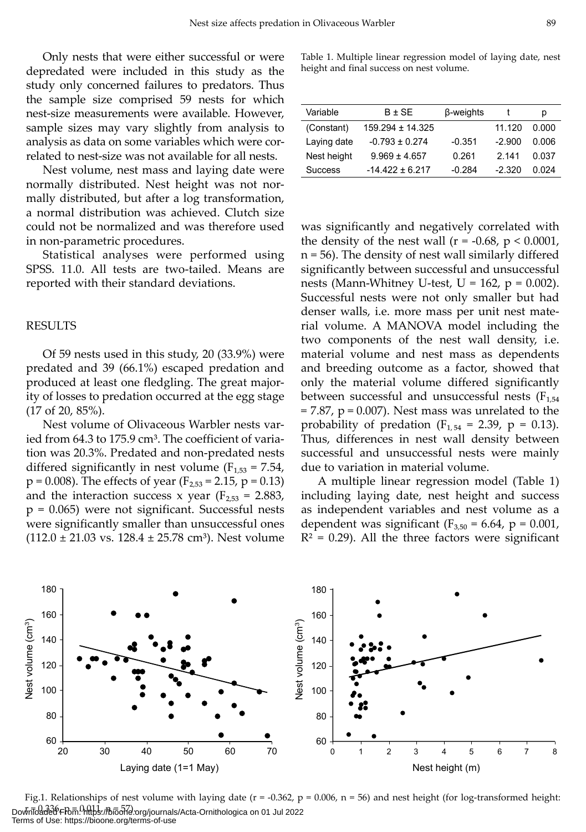Only nests that were either successful or were depredated were included in this study as the study only concerned failures to predators. Thus the sample size comprised 59 nests for which nest-size measurements were available. However, sample sizes may vary slightly from analysis to analysis as data on some variables which were correlated to nest-size was not available for all nests.

Nest volume, nest mass and laying date were normally distributed. Nest height was not normally distributed, but after a log transformation, a normal distribution was achieved. Clutch size could not be normalized and was therefore used in non-parametric procedures.

Statistical analyses were performed using SPSS. 11.0. All tests are two-tailed. Means are reported with their standard deviations.

#### RESULTS

Of 59 nests used in this study, 20 (33.9%) were predated and 39 (66.1%) escaped predation and produced at least one fledgling. The great majority of losses to predation occurred at the egg stage (17 of 20, 85%).

Nest volume of Olivaceous Warbler nests varied from 64.3 to 175.9 cm<sup>3</sup>. The coefficient of variation was 20.3%. Predated and non-predated nests differed significantly in nest volume  $(F_{1,53} = 7.54,$  $p = 0.008$ ). The effects of year ( $F_{2,53} = 2.15$ ,  $p = 0.13$ ) and the interaction success x year ( $F_{2,53} = 2.883$ ,  $p = 0.065$ ) were not significant. Successful nests were significantly smaller than unsuccessful ones  $(112.0 \pm 21.03 \text{ vs. } 128.4 \pm 25.78 \text{ cm}^3)$ . Nest volume

Table 1. Multiple linear regression model of laying date, nest height and final success on nest volume.

| Variable       | $B \pm SE$           | β-weights |          | р     |
|----------------|----------------------|-----------|----------|-------|
| (Constant)     | $159.294 \pm 14.325$ |           | 11 120   | 0.000 |
| Laying date    | $-0.793 \pm 0.274$   | $-0.351$  | $-2.900$ | 0.006 |
| Nest height    | $9.969 \pm 4.657$    | 0.261     | 2 14 1   | 0.037 |
| <b>Success</b> | $-14.422 \pm 6.217$  | $-0.284$  | $-2.320$ | በ በ24 |

was significantly and negatively correlated with the density of the nest wall ( $r = -0.68$ ,  $p < 0.0001$ , n = 56). The density of nest wall similarly differed significantly between successful and unsuccessful nests (Mann-Whitney U-test,  $U = 162$ ,  $p = 0.002$ ). Successful nests were not only smaller but had denser walls, i.e. more mass per unit nest material volume. A MANOVA model including the two components of the nest wall density, i.e. material volume and nest mass as dependents and breeding outcome as a factor, showed that only the material volume differed significantly between successful and unsuccessful nests ( $F_{1,54}$  $= 7.87$ ,  $p = 0.007$ ). Nest mass was unrelated to the probability of predation ( $F_{1,54} = 2.39$ , p = 0.13). Thus, differences in nest wall density between successful and unsuccessful nests were mainly due to variation in material volume.

A multiple linear regression model (Table 1) including laying date, nest height and success as independent variables and nest volume as a dependent was significant ( $F_{3,50} = 6.64$ , p = 0.001,  $R<sup>2</sup> = 0.29$ ). All the three factors were significant



Fig.1. Relationships of nest volume with laying date ( $r = -0.362$ ,  $p = 0.006$ ,  $n = 56$ ) and nest height (for log-transformed height: Downloaded Flom. https://biool?corg/journals/Acta-Ornithologica on 01 Jul 2022 Terms of Use: https://bioone.org/terms-of-use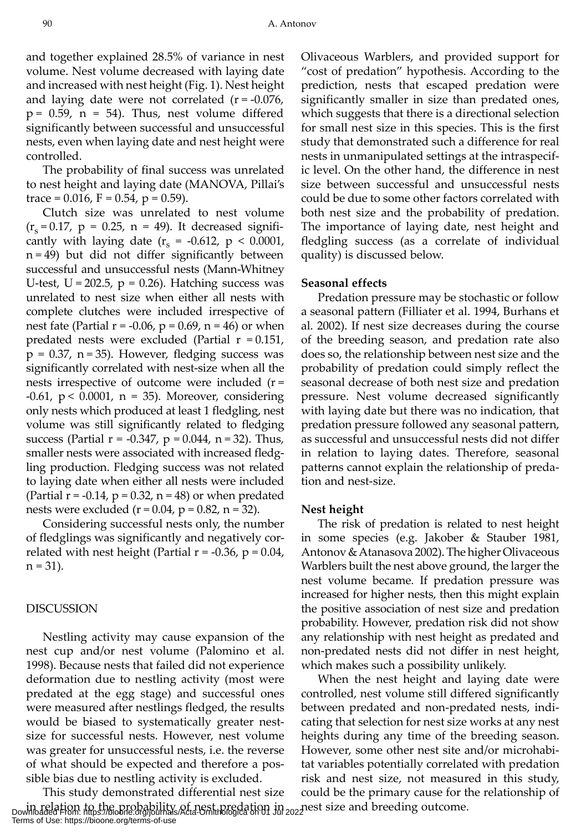and together explained 28.5% of variance in nest volume. Nest volume decreased with laying date and increased with nest height (Fig. 1). Nest height and laying date were not correlated  $(r = -0.076)$ ,  $p = 0.59$ ,  $n = 54$ ). Thus, nest volume differed significantly between successful and unsuccessful nests, even when laying date and nest height were controlled.

The probability of final success was unrelated to nest height and laying date (MANOVA, Pillai's trace =  $0.016$ , F =  $0.54$ , p =  $0.59$ ).

Clutch size was unrelated to nest volume  $(r_s = 0.17, p = 0.25, n = 49)$ . It decreased significantly with laying date  $(r_s = -0.612, p < 0.0001,$  $n = 49$ ) but did not differ significantly between successful and unsuccessful nests (Mann-Whitney U-test,  $U = 202.5$ ,  $p = 0.26$ ). Hatching success was unrelated to nest size when either all nests with complete clutches were included irrespective of nest fate (Partial  $r = -0.06$ ,  $p = 0.69$ ,  $n = 46$ ) or when predated nests were excluded (Partial  $r = 0.151$ ,  $p = 0.37$ ,  $n = 35$ ). However, fledging success was significantly correlated with nest-size when all the nests irrespective of outcome were included (r = -0.61,  $p < 0.0001$ ,  $n = 35$ ). Moreover, considering only nests which produced at least 1 fledgling, nest volume was still significantly related to fledging success (Partial  $r = -0.347$ ,  $p = 0.044$ ,  $n = 32$ ). Thus, smaller nests were associated with increased fledgling production. Fledging success was not related to laying date when either all nests were included (Partial  $r = -0.14$ ,  $p = 0.32$ ,  $n = 48$ ) or when predated nests were excluded  $(r = 0.04, p = 0.82, n = 32)$ .

Considering successful nests only, the number of fledglings was significantly and negatively correlated with nest height (Partial  $r = -0.36$ ,  $p = 0.04$ ,  $n = 31$ ).

#### DISCUSSION

Nestling activity may cause expansion of the nest cup and/or nest volume (Palomino et al. 1998). Because nests that failed did not experience deformation due to nestling activity (most were predated at the egg stage) and successful ones were measured after nestlings fledged, the results would be biased to systematically greater nestsize for successful nests. However, nest volume was greater for unsuccessful nests, i.e. the reverse of what should be expected and therefore a possible bias due to nestling activity is excluded.

This study demonstrated differential nest size in relation to the probability of nest predation in <sub>202</sub> nest size and breeding outcome.<br>Downloaded From: https://bioone.org/journals/Acta-Ornithologica on 01 Jul 2022 Terms of Use: https://bioone.org/terms-of-use

Olivaceous Warblers, and provided support for "cost of predation" hypothesis. According to the prediction, nests that escaped predation were significantly smaller in size than predated ones, which suggests that there is a directional selection for small nest size in this species. This is the first study that demonstrated such a difference for real nests in unmanipulated settings at the intraspecific level. On the other hand, the difference in nest size between successful and unsuccessful nests could be due to some other factors correlated with both nest size and the probability of predation. The importance of laying date, nest height and fledgling success (as a correlate of individual quality) is discussed below.

#### **Seasonal effects**

Predation pressure may be stochastic or follow a seasonal pattern (Filliater et al. 1994, Burhans et al. 2002). If nest size decreases during the course of the breeding season, and predation rate also does so, the relationship between nest size and the probability of predation could simply reflect the seasonal decrease of both nest size and predation pressure. Nest volume decreased significantly with laying date but there was no indication, that predation pressure followed any seasonal pattern, as successful and unsuccessful nests did not differ in relation to laying dates. Therefore, seasonal patterns cannot explain the relationship of predation and nest-size.

#### **Nest height**

The risk of predation is related to nest height in some species (e.g. Jakober & Stauber 1981, Antonov & Atanasova 2002). The higher Olivaceous Warblers built the nest above ground, the larger the nest volume became. If predation pressure was increased for higher nests, then this might explain the positive association of nest size and predation probability. However, predation risk did not show any relationship with nest height as predated and non-predated nests did not differ in nest height, which makes such a possibility unlikely.

When the nest height and laying date were controlled, nest volume still differed significantly between predated and non-predated nests, indicating that selection for nest size works at any nest heights during any time of the breeding season. However, some other nest site and/or microhabitat variables potentially correlated with predation risk and nest size, not measured in this study, could be the primary cause for the relationship of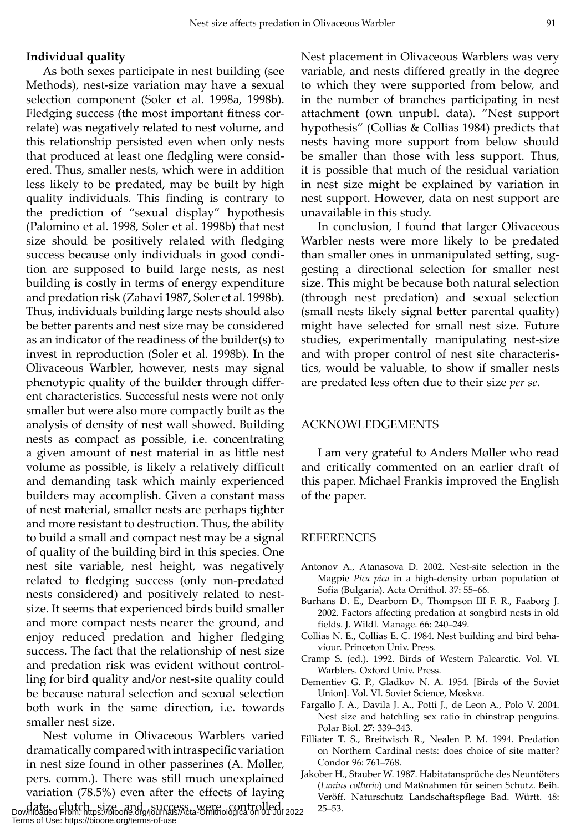#### **Individual quality**

As both sexes participate in nest building (see Methods), nest-size variation may have a sexual selection component (Soler et al. 1998a, 1998b). Fledging success (the most important fitness correlate) was negatively related to nest volume, and this relationship persisted even when only nests that produced at least one fledgling were considered. Thus, smaller nests, which were in addition less likely to be predated, may be built by high quality individuals. This finding is contrary to the prediction of "sexual display" hypothesis (Palomino et al. 1998, Soler et al. 1998b) that nest size should be positively related with fledging success because only individuals in good condition are supposed to build large nests, as nest building is costly in terms of energy expenditure and predation risk (Zahavi 1987, Soler et al. 1998b). Thus, individuals building large nests should also be better parents and nest size may be considered as an indicator of the readiness of the builder(s) to invest in reproduction (Soler et al. 1998b). In the Olivaceous Warbler, however, nests may signal phenotypic quality of the builder through different characteristics. Successful nests were not only smaller but were also more compactly built as the analysis of density of nest wall showed. Building nests as compact as possible, i.e. concentrating a given amount of nest material in as little nest volume as possible, is likely a relatively difficult and demanding task which mainly experienced builders may accomplish. Given a constant mass of nest material, smaller nests are perhaps tighter and more resistant to destruction. Thus, the ability to build a small and compact nest may be a signal of quality of the building bird in this species. One nest site variable, nest height, was negatively related to fledging success (only non-predated nests considered) and positively related to nestsize. It seems that experienced birds build smaller and more compact nests nearer the ground, and enjoy reduced predation and higher fledging success. The fact that the relationship of nest size and predation risk was evident without controlling for bird quality and/or nest-site quality could be because natural selection and sexual selection both work in the same direction, i.e. towards smaller nest size.

Nest volume in Olivaceous Warblers varied dramatically compared with intraspecific variation in nest size found in other passerines (A. Møller, pers. comm.). There was still much unexplained variation (78.5%) even after the effects of laying date, clutch size and success were controlled. 25–53. Downloaded From: https://bioone.org/journals/Acta-Ornithologica on 01 Jul 2022

Terms of Use: https://bioone.org/terms-of-use

Nest placement in Olivaceous Warblers was very variable, and nests differed greatly in the degree to which they were supported from below, and in the number of branches participating in nest attachment (own unpubl. data). "Nest support hypothesis" (Collias & Collias 1984) predicts that nests having more support from below should be smaller than those with less support. Thus, it is possible that much of the residual variation in nest size might be explained by variation in nest support. However, data on nest support are unavailable in this study.

In conclusion, I found that larger Olivaceous Warbler nests were more likely to be predated than smaller ones in unmanipulated setting, suggesting a directional selection for smaller nest size. This might be because both natural selection (through nest predation) and sexual selection (small nests likely signal better parental quality) might have selected for small nest size. Future studies, experimentally manipulating nest-size and with proper control of nest site characteristics, would be valuable, to show if smaller nests are predated less often due to their size *per se*.

#### ACKNOWLEDGEMENTS

I am very grateful to Anders Møller who read and critically commented on an earlier draft of this paper. Michael Frankis improved the English of the paper.

#### **REFERENCES**

- Antonov A., Atanasova D. 2002. Nest-site selection in the Magpie *Pica pica* in a high-density urban population of Sofia (Bulgaria). Acta Ornithol. 37: 55–66.
- Burhans D. E., Dearborn D., Thompson III F. R., Faaborg J. 2002. Factors affecting predation at songbird nests in old fields. J. Wildl. Manage. 66: 240–249.
- Collias N. E., Collias E. C. 1984. Nest building and bird behaviour. Princeton Univ. Press.
- Cramp S. (ed.). 1992. Birds of Western Palearctic. Vol. VI. Warblers. Oxford Univ. Press.
- Dementiev G. P., Gladkov N. A. 1954. [Birds of the Soviet Union]. Vol. VI. Soviet Science, Moskva.
- Fargallo J. A., Davila J. A., Potti J., de Leon A., Polo V. 2004. Nest size and hatchling sex ratio in chinstrap penguins. Polar Biol. 27: 339–343.
- Filliater T. S., Breitwisch R., Nealen P. M. 1994. Predation on Northern Cardinal nests: does choice of site matter? Condor 96: 761–768.
- Jakober H., Stauber W. 1987. Habitatansprüche des Neuntöters (*Lanius collurio*) und Maßnahmen für seinen Schutz. Beih. Veröff. Naturschutz Landschaftspflege Bad. Württ. 48: